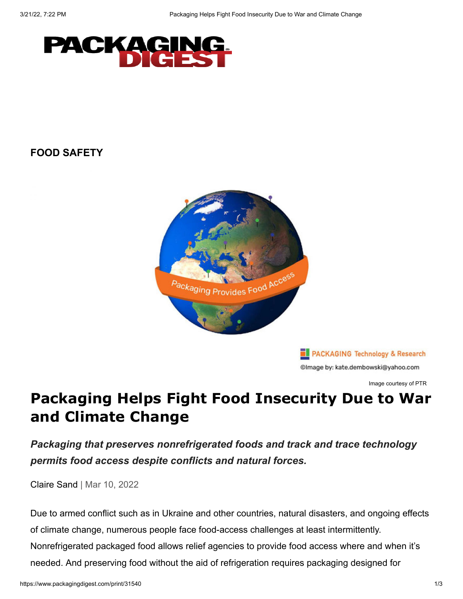

## **[FOOD SAFETY](https://www.packagingdigest.com/food-safety)**



PACKAGING Technology & Research @Image by: kate.dembowski@yahoo.com

Image courtesy of PTR

## **Packaging Helps Fight Food Insecurity Due to War and Climate Change**

*Packaging that preserves nonrefrigerated foods and track and trace technology permits food access despite conflicts and natural forces.*

[Claire Sand](https://www.packagingdigest.com/author/Claire-Sand) | Mar 10, 2022

Due to armed conflict such as in Ukraine and other countries, natural disasters, and ongoing effects of climate change, numerous people face food-access challenges at least intermittently. Nonrefrigerated packaged food allows relief agencies to provide food access where and when it's needed. And preserving food without the aid of refrigeration requires packaging designed for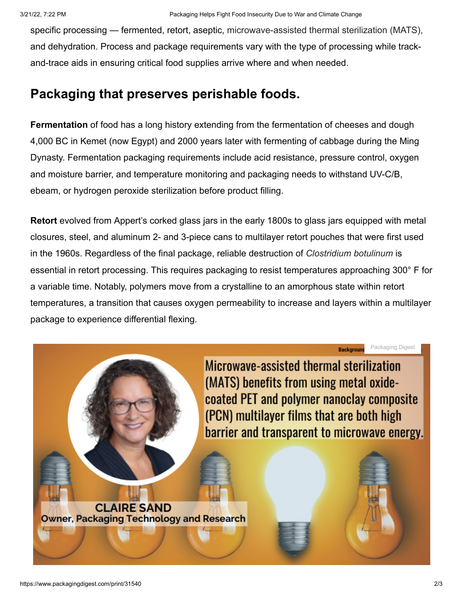specific processing — fermented, retort, aseptic, microwave-assisted thermal sterilization (MATS), and dehydration. Process and package requirements vary with the type of processing while trackand-trace aids in ensuring critical food supplies arrive where and when needed.

## **Packaging that preserves perishable foods.**

**Fermentation** of food has a long history extending from the fermentation of cheeses and dough 4,000 BC in Kemet (now Egypt) and 2000 years later with fermenting of cabbage during the Ming Dynasty. Fermentation packaging requirements include acid resistance, pressure control, oxygen and moisture barrier, and temperature monitoring and packaging needs to withstand UV-C/B, ebeam, or hydrogen peroxide sterilization before product filling.

**Retort** evolved from Appert's corked glass jars in the early 1800s to glass jars equipped with metal closures, steel, and aluminum 2- and 3-piece cans to multilayer retort pouches that were first used in the 1960s. Regardless of the final package, reliable destruction of *Clostridium botulinum* is essential in retort processing. This requires packaging to resist temperatures approaching 300° F for a variable time. Notably, polymers move from a crystalline to an amorphous state within retort temperatures, a transition that causes oxygen permeability to increase and layers within a multilayer package to experience differential flexing.

> Packaging Digest**Background**

Microwave-assisted thermal sterilization (MATS) benefits from using metal oxidecoated PET and polymer nanoclay composite (PCN) multilayer films that are both high barrier and transparent to microwave energy.

**CLAIRE SAND Owner, Packaging Technology and Research**